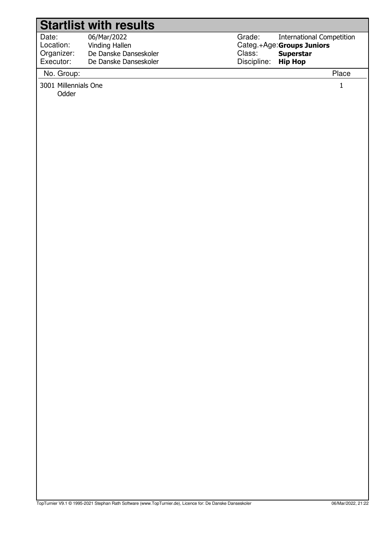| 06/Mar/2022           |
|-----------------------|
| Vinding Hallen        |
| De Danske Danseskoler |
| De Danske Danseskoler |
|                       |

Grade: Categ.+Age:  **Groups Juniors** Class: Discipline: International Competition  **Superstar Hip Hop**

#### No. Group: Place

3001 Millennials One 1

Odder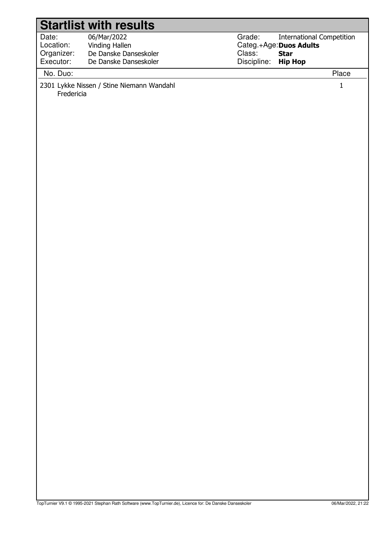| Grade:<br>Date:<br>06/Mar/2022<br><b>International Competition</b><br>Location:<br>Vinding Hallen<br>Categ.+Age: Duos Adults<br>Organizer:<br>De Danske Danseskoler<br>Class:<br><b>Star</b><br>Executor:<br>Discipline:<br>De Danske Danseskoler<br><b>Hip Hop</b><br>No. Duo:<br>Place<br>2301 Lykke Nissen / Stine Niemann Wandahl<br>$\mathbf{1}$<br>Fredericia | <b>Startlist with results</b> |  |
|---------------------------------------------------------------------------------------------------------------------------------------------------------------------------------------------------------------------------------------------------------------------------------------------------------------------------------------------------------------------|-------------------------------|--|
|                                                                                                                                                                                                                                                                                                                                                                     |                               |  |
|                                                                                                                                                                                                                                                                                                                                                                     |                               |  |
|                                                                                                                                                                                                                                                                                                                                                                     |                               |  |
|                                                                                                                                                                                                                                                                                                                                                                     |                               |  |
|                                                                                                                                                                                                                                                                                                                                                                     |                               |  |
|                                                                                                                                                                                                                                                                                                                                                                     |                               |  |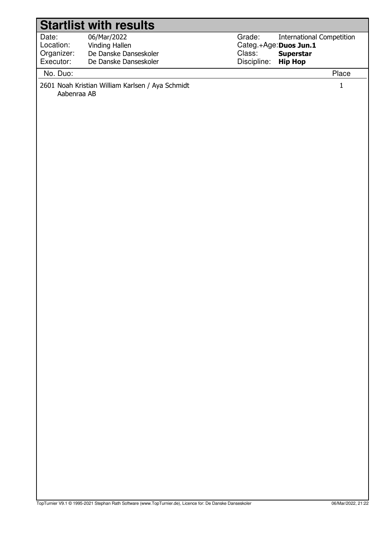|                         | <b>Startlist with results</b>                    |                                                             |
|-------------------------|--------------------------------------------------|-------------------------------------------------------------|
| Date:                   | 06/Mar/2022                                      | Grade:<br><b>International Competition</b>                  |
| Location:               | Vinding Hallen                                   | Categ.+Age: Duos Jun.1                                      |
| Organizer:<br>Executor: | De Danske Danseskoler<br>De Danske Danseskoler   | Class:<br><b>Superstar</b><br>Discipline:<br><b>Hip Hop</b> |
|                         |                                                  |                                                             |
|                         |                                                  |                                                             |
| No. Duo:<br>Aabenraa AB | 2601 Noah Kristian William Karlsen / Aya Schmidt | Place<br>$\mathbf{1}$                                       |
|                         |                                                  |                                                             |
|                         |                                                  |                                                             |
|                         |                                                  |                                                             |
|                         |                                                  |                                                             |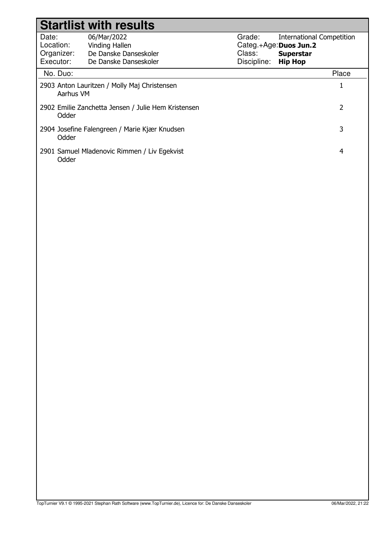|                                               | <b>Startlist with results</b>                                                   |                                 |                                                                                                 |       |
|-----------------------------------------------|---------------------------------------------------------------------------------|---------------------------------|-------------------------------------------------------------------------------------------------|-------|
| Date:<br>Location:<br>Organizer:<br>Executor: | 06/Mar/2022<br>Vinding Hallen<br>De Danske Danseskoler<br>De Danske Danseskoler | Grade:<br>Class:<br>Discipline: | <b>International Competition</b><br>Categ.+Age:Duos Jun.2<br><b>Superstar</b><br><b>Hip Hop</b> |       |
| No. Duo:                                      |                                                                                 |                                 |                                                                                                 | Place |
| Aarhus VM                                     | 2903 Anton Lauritzen / Molly Maj Christensen                                    |                                 |                                                                                                 |       |
| Odder                                         | 2902 Emilie Zanchetta Jensen / Julie Hem Kristensen                             |                                 |                                                                                                 | 2     |
| Odder                                         | 2904 Josefine Falengreen / Marie Kjær Knudsen                                   |                                 |                                                                                                 | 3     |
| Odder                                         | 2901 Samuel Mladenovic Rimmen / Liv Egekvist                                    |                                 |                                                                                                 | 4     |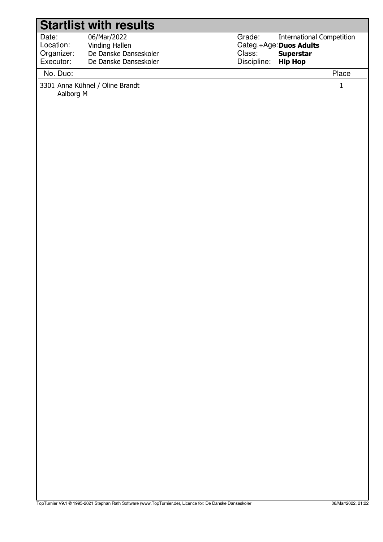|            | <b>Startlist with results</b>   |             |                                  |              |
|------------|---------------------------------|-------------|----------------------------------|--------------|
| Date:      | 06/Mar/2022                     | Grade:      | <b>International Competition</b> |              |
| Location:  | Vinding Hallen                  |             | Categ.+Age: Duos Adults          |              |
| Organizer: | De Danske Danseskoler           | Class:      | <b>Superstar</b>                 |              |
| Executor:  | De Danske Danseskoler           | Discipline: | <b>Hip Hop</b>                   |              |
| No. Duo:   |                                 |             |                                  | Place        |
| Aalborg M  | 3301 Anna Kühnel / Oline Brandt |             |                                  | $\mathbf{1}$ |
|            |                                 |             |                                  |              |
|            |                                 |             |                                  |              |
|            |                                 |             |                                  |              |
|            |                                 |             |                                  |              |
|            |                                 |             |                                  |              |
|            |                                 |             |                                  |              |
|            |                                 |             |                                  |              |
|            |                                 |             |                                  |              |
|            |                                 |             |                                  |              |
|            |                                 |             |                                  |              |
|            |                                 |             |                                  |              |
|            |                                 |             |                                  |              |
|            |                                 |             |                                  |              |
|            |                                 |             |                                  |              |
|            |                                 |             |                                  |              |
|            |                                 |             |                                  |              |
|            |                                 |             |                                  |              |
|            |                                 |             |                                  |              |
|            |                                 |             |                                  |              |
|            |                                 |             |                                  |              |
|            |                                 |             |                                  |              |
|            |                                 |             |                                  |              |
|            |                                 |             |                                  |              |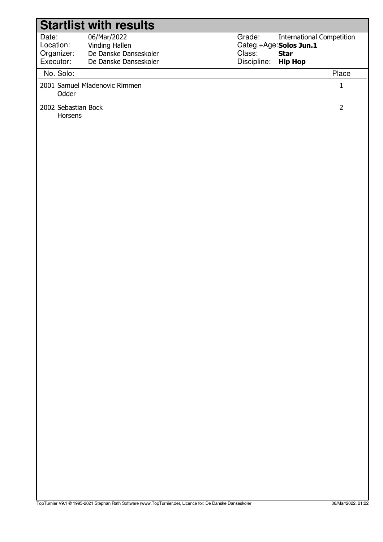|                                               | <b>Startlist with results</b>                                                   |                                                                                                                                 |                |
|-----------------------------------------------|---------------------------------------------------------------------------------|---------------------------------------------------------------------------------------------------------------------------------|----------------|
| Date:<br>Location:<br>Organizer:<br>Executor: | 06/Mar/2022<br>Vinding Hallen<br>De Danske Danseskoler<br>De Danske Danseskoler | Grade:<br><b>International Competition</b><br>Categ.+Age: Solos Jun.1<br>Class:<br><b>Star</b><br>Discipline:<br><b>Hip Hop</b> |                |
| No. Solo:                                     |                                                                                 |                                                                                                                                 | Place          |
| Odder                                         | 2001 Samuel Mladenovic Rimmen                                                   |                                                                                                                                 | $\mathbf 1$    |
| 2002 Sebastian Bock<br>Horsens                |                                                                                 |                                                                                                                                 | $\overline{2}$ |
|                                               |                                                                                 |                                                                                                                                 |                |
|                                               |                                                                                 |                                                                                                                                 |                |
|                                               |                                                                                 |                                                                                                                                 |                |
|                                               |                                                                                 |                                                                                                                                 |                |
|                                               |                                                                                 |                                                                                                                                 |                |
|                                               |                                                                                 |                                                                                                                                 |                |
|                                               |                                                                                 |                                                                                                                                 |                |
|                                               |                                                                                 |                                                                                                                                 |                |
|                                               |                                                                                 |                                                                                                                                 |                |
|                                               |                                                                                 |                                                                                                                                 |                |
|                                               |                                                                                 |                                                                                                                                 |                |
|                                               |                                                                                 |                                                                                                                                 |                |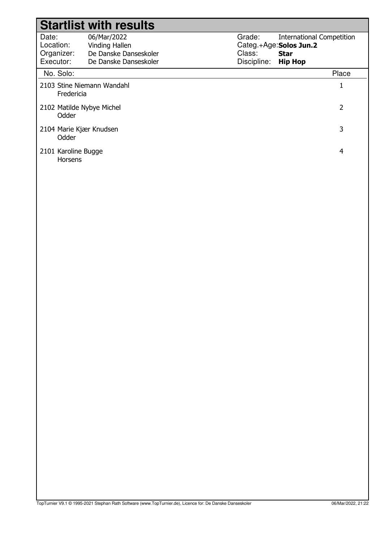|                                               | <b>Startlist with results</b>                                                   |                                 |                                                                                              |                |
|-----------------------------------------------|---------------------------------------------------------------------------------|---------------------------------|----------------------------------------------------------------------------------------------|----------------|
| Date:<br>Location:<br>Organizer:<br>Executor: | 06/Mar/2022<br>Vinding Hallen<br>De Danske Danseskoler<br>De Danske Danseskoler | Grade:<br>Class:<br>Discipline: | <b>International Competition</b><br>Categ.+Age: Solos Jun.2<br><b>Star</b><br><b>Hip Hop</b> |                |
| No. Solo:                                     |                                                                                 |                                 |                                                                                              | Place          |
| 2103 Stine Niemann Wandahl<br>Fredericia      |                                                                                 |                                 |                                                                                              | $\mathbf 1$    |
| 2102 Matilde Nybye Michel<br>Odder            |                                                                                 |                                 |                                                                                              | $\overline{2}$ |
| 2104 Marie Kjær Knudsen<br>Odder              |                                                                                 |                                 |                                                                                              | $\mathsf{3}$   |
| 2101 Karoline Bugge<br>Horsens                |                                                                                 |                                 |                                                                                              | $\overline{4}$ |
|                                               |                                                                                 |                                 |                                                                                              |                |
|                                               |                                                                                 |                                 |                                                                                              |                |
|                                               |                                                                                 |                                 |                                                                                              |                |
|                                               |                                                                                 |                                 |                                                                                              |                |
|                                               |                                                                                 |                                 |                                                                                              |                |
|                                               |                                                                                 |                                 |                                                                                              |                |
|                                               |                                                                                 |                                 |                                                                                              |                |
|                                               |                                                                                 |                                 |                                                                                              |                |
|                                               |                                                                                 |                                 |                                                                                              |                |
|                                               |                                                                                 |                                 |                                                                                              |                |
|                                               |                                                                                 |                                 |                                                                                              |                |
|                                               |                                                                                 |                                 |                                                                                              |                |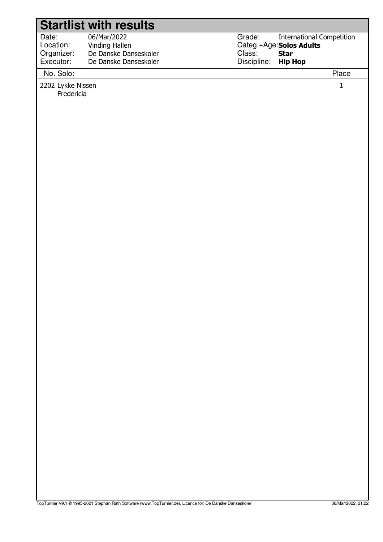Date: Location: 06/Mar/2022 Vinding Hallen Organizer: Executor: De Danske Danseskoler De Danske Danseskoler

No. Solo: Place

2202 Lykke Nissen 1

Fredericia

Grade: Categ.+Age:**Solos Adults** Class: Discipline: International Competition  **Star Hip Hop**

TopTurnier V9.1 © 1995-2021 Stephan Rath Software (www.TopTurnier.de), Licence for: De Danske Danseskoler 06/Mar/2022, 21:22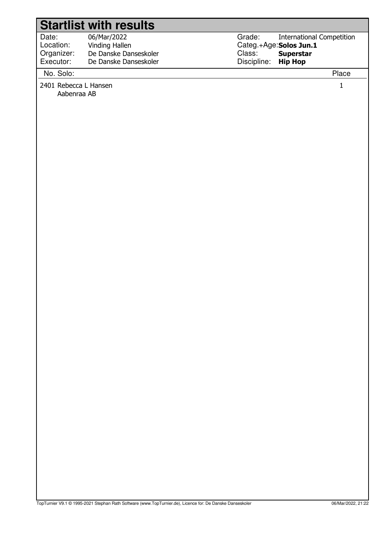| Date:      | 06/Mar/2022           |
|------------|-----------------------|
| Location:  | Vinding Hallen        |
| Organizer: | De Danske Danseskoler |
| Executor:  | De Danske Danseskoler |

Grade: Categ.+Age:**Solos Jun.1** Class: Discipline: International Competition  **Superstar Hip Hop**

#### No. Solo: Place

2401 Rebecca L Hansen 1 Aabenraa AB

TopTurnier V9.1 © 1995-2021 Stephan Rath Software (www.TopTurnier.de), Licence for: De Danske Danseskoler 06/Mar/2022, 21:22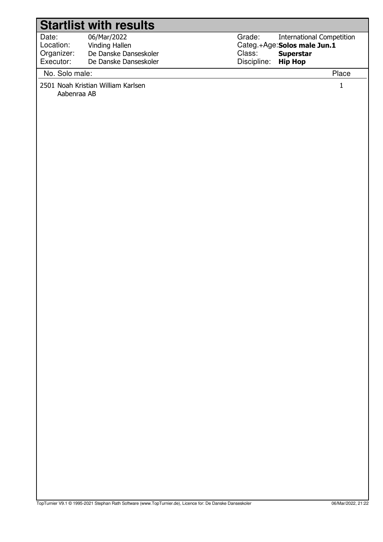#### Date: Location: Grade: Class: 06/Mar/2022 Vinding Hallen Organizer: Executor: De Danske Danseskoler De Danske Danseskoler **Startlist with results**

Categ.+Age:**Solos male Jun.1** Discipline: International Competition  **Superstar Hip Hop**

#### No. Solo male: Place

2501 Noah Kristian William Karlsen 1 Aabenraa AB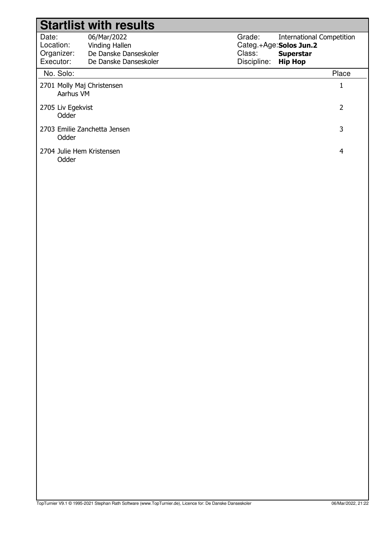|                                               | <b>Startlist with results</b>                                                   |                                 |                                                                                                   |                |
|-----------------------------------------------|---------------------------------------------------------------------------------|---------------------------------|---------------------------------------------------------------------------------------------------|----------------|
| Date:<br>Location:<br>Organizer:<br>Executor: | 06/Mar/2022<br>Vinding Hallen<br>De Danske Danseskoler<br>De Danske Danseskoler | Grade:<br>Class:<br>Discipline: | <b>International Competition</b><br>Categ.+Age: Solos Jun.2<br><b>Superstar</b><br><b>Hip Hop</b> |                |
| No. Solo:                                     |                                                                                 |                                 |                                                                                                   | Place          |
| 2701 Molly Maj Christensen<br>Aarhus VM       |                                                                                 |                                 |                                                                                                   | $\mathbf{1}$   |
| 2705 Liv Egekvist<br>Odder                    |                                                                                 |                                 |                                                                                                   | $\overline{2}$ |
| Odder                                         | 2703 Emilie Zanchetta Jensen                                                    |                                 |                                                                                                   | 3              |
| 2704 Julie Hem Kristensen<br>Odder            |                                                                                 |                                 |                                                                                                   | $\overline{4}$ |
|                                               |                                                                                 |                                 |                                                                                                   |                |
|                                               |                                                                                 |                                 |                                                                                                   |                |
|                                               |                                                                                 |                                 |                                                                                                   |                |
|                                               |                                                                                 |                                 |                                                                                                   |                |
|                                               |                                                                                 |                                 |                                                                                                   |                |
|                                               |                                                                                 |                                 |                                                                                                   |                |
|                                               |                                                                                 |                                 |                                                                                                   |                |
|                                               |                                                                                 |                                 |                                                                                                   |                |
|                                               |                                                                                 |                                 |                                                                                                   |                |
|                                               |                                                                                 |                                 |                                                                                                   |                |
|                                               |                                                                                 |                                 |                                                                                                   |                |
|                                               |                                                                                 |                                 |                                                                                                   |                |
|                                               |                                                                                 |                                 |                                                                                                   |                |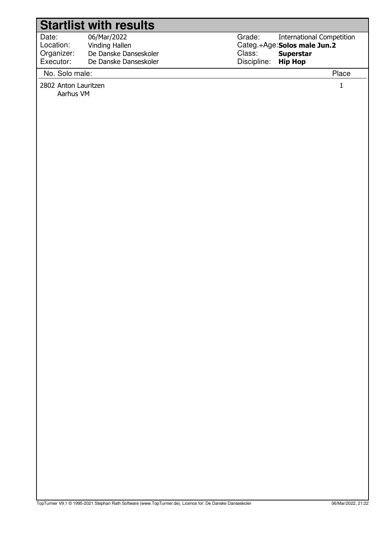Date: Location: 06/Mar/2022 Vinding Hallen Organizer: Executor: De Danske Danseskoler De Danske Danseskoler Grade: Categ.+Age:**Solos male Jun.2** Class: Discipline: International Competition  **Superstar Hip Hop**

No. Solo male: Place

2802 Anton Lauritzen 1

Aarhus VM

TopTurnier V9.1 © 1995-2021 Stephan Rath Software (www.TopTurnier.de), Licence for: De Danske Danseskoler 06/Mar/2020, 21:22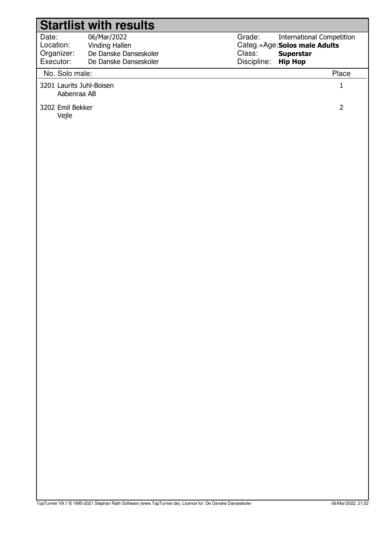|                                               | <b>Startlist with results</b>                                                   |                                                                                                                                            |
|-----------------------------------------------|---------------------------------------------------------------------------------|--------------------------------------------------------------------------------------------------------------------------------------------|
| Date:<br>Location:<br>Organizer:<br>Executor: | 06/Mar/2022<br>Vinding Hallen<br>De Danske Danseskoler<br>De Danske Danseskoler | Grade:<br><b>International Competition</b><br>Categ.+Age: Solos male Adults<br>Class:<br><b>Superstar</b><br>Discipline:<br><b>Hip Hop</b> |
| No. Solo male:                                |                                                                                 | Place                                                                                                                                      |
| 3201 Laurits Juhl-Boisen<br>Aabenraa AB       |                                                                                 | $\mathbf{1}$                                                                                                                               |
| 3202 Emil Bekker<br>Vejle                     |                                                                                 | $\overline{2}$                                                                                                                             |
|                                               |                                                                                 |                                                                                                                                            |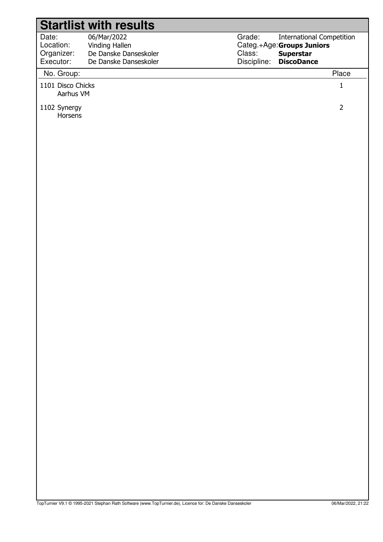|                                | <b>Startlist with results</b> |             |                                                               |                |
|--------------------------------|-------------------------------|-------------|---------------------------------------------------------------|----------------|
| Date:<br>Location:             | 06/Mar/2022<br>Vinding Hallen | Grade:      | <b>International Competition</b><br>Categ.+Age:Groups Juniors |                |
| Organizer:                     | De Danske Danseskoler         | Class:      | <b>Superstar</b>                                              |                |
| Executor:                      | De Danske Danseskoler         | Discipline: | <b>DiscoDance</b>                                             |                |
| No. Group:                     |                               |             |                                                               | Place          |
| 1101 Disco Chicks<br>Aarhus VM |                               |             |                                                               | $\mathbf 1$    |
| 1102 Synergy<br>Horsens        |                               |             |                                                               | $\overline{2}$ |
|                                |                               |             |                                                               |                |
|                                |                               |             |                                                               |                |
|                                |                               |             |                                                               |                |
|                                |                               |             |                                                               |                |
|                                |                               |             |                                                               |                |
|                                |                               |             |                                                               |                |
|                                |                               |             |                                                               |                |
|                                |                               |             |                                                               |                |
|                                |                               |             |                                                               |                |
|                                |                               |             |                                                               |                |
|                                |                               |             |                                                               |                |
|                                |                               |             |                                                               |                |
|                                |                               |             |                                                               |                |
|                                |                               |             |                                                               |                |
|                                |                               |             |                                                               |                |
|                                |                               |             |                                                               |                |
|                                |                               |             |                                                               |                |
|                                |                               |             |                                                               |                |
|                                |                               |             |                                                               |                |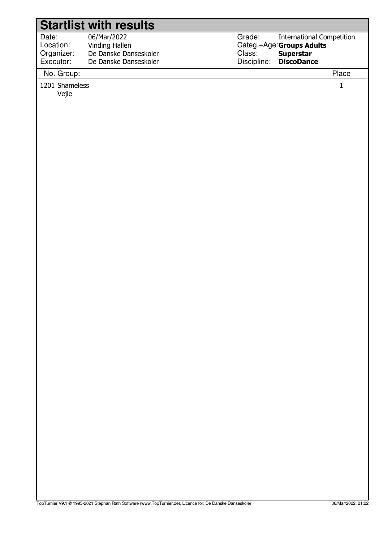Date: Location: 06/Mar/2022 Vinding Hallen Organizer: Executor: De Danske Danseskoler De Danske Danseskoler Grade: Categ.+Age:  **Groups Adults** Class: Discipline: International Competition  **Superstar DiscoDance**

#### No. Group: Place

1201 Shameless 1

Vejle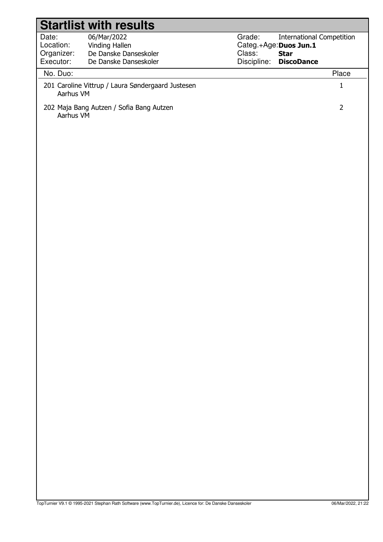|                         | <b>Startlist with results</b>                     |             |                                       |                |
|-------------------------|---------------------------------------------------|-------------|---------------------------------------|----------------|
| Date:                   | 06/Mar/2022                                       | Grade:      | <b>International Competition</b>      |                |
| Location:               | Vinding Hallen                                    | Class:      | Categ.+Age: Duos Jun.1<br><b>Star</b> |                |
| Organizer:<br>Executor: | De Danske Danseskoler<br>De Danske Danseskoler    | Discipline: | <b>DiscoDance</b>                     |                |
| No. Duo:                |                                                   |             |                                       | Place          |
|                         |                                                   |             |                                       |                |
| Aarhus VM               | 201 Caroline Vittrup / Laura Søndergaard Justesen |             |                                       | $\mathbf{1}$   |
| Aarhus VM               | 202 Maja Bang Autzen / Sofia Bang Autzen          |             |                                       | $\overline{2}$ |
|                         |                                                   |             |                                       |                |
|                         |                                                   |             |                                       |                |
|                         |                                                   |             |                                       |                |
|                         |                                                   |             |                                       |                |
|                         |                                                   |             |                                       |                |
|                         |                                                   |             |                                       |                |
|                         |                                                   |             |                                       |                |
|                         |                                                   |             |                                       |                |
|                         |                                                   |             |                                       |                |
|                         |                                                   |             |                                       |                |
|                         |                                                   |             |                                       |                |
|                         |                                                   |             |                                       |                |
|                         |                                                   |             |                                       |                |
|                         |                                                   |             |                                       |                |
|                         |                                                   |             |                                       |                |
|                         |                                                   |             |                                       |                |
|                         |                                                   |             |                                       |                |
|                         |                                                   |             |                                       |                |
|                         |                                                   |             |                                       |                |
|                         |                                                   |             |                                       |                |
|                         |                                                   |             |                                       |                |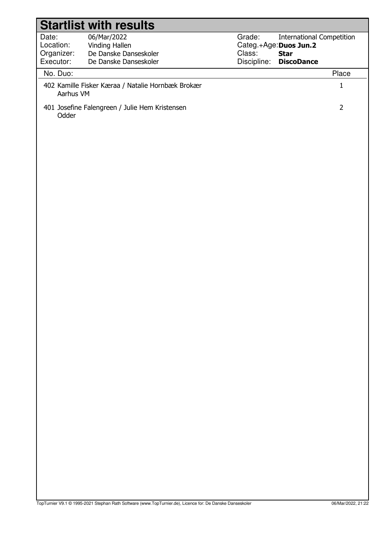|            | <b>Startlist with results</b>                     |             |                                  |                |
|------------|---------------------------------------------------|-------------|----------------------------------|----------------|
| Date:      | 06/Mar/2022                                       | Grade:      | <b>International Competition</b> |                |
| Location:  | Vinding Hallen                                    |             | Categ.+Age: Duos Jun.2           |                |
| Organizer: | De Danske Danseskoler                             | Class:      | <b>Star</b>                      |                |
| Executor:  | De Danske Danseskoler                             | Discipline: | <b>DiscoDance</b>                |                |
| No. Duo:   |                                                   |             |                                  | Place          |
| Aarhus VM  | 402 Kamille Fisker Kæraa / Natalie Hornbæk Brokær |             |                                  | $\mathbf{1}$   |
| Odder      | 401 Josefine Falengreen / Julie Hem Kristensen    |             |                                  | $\overline{2}$ |
|            |                                                   |             |                                  |                |
|            |                                                   |             |                                  |                |
|            |                                                   |             |                                  |                |
|            |                                                   |             |                                  |                |
|            |                                                   |             |                                  |                |
|            |                                                   |             |                                  |                |
|            |                                                   |             |                                  |                |
|            |                                                   |             |                                  |                |
|            |                                                   |             |                                  |                |
|            |                                                   |             |                                  |                |
|            |                                                   |             |                                  |                |
|            |                                                   |             |                                  |                |
|            |                                                   |             |                                  |                |
|            |                                                   |             |                                  |                |
|            |                                                   |             |                                  |                |
|            |                                                   |             |                                  |                |
|            |                                                   |             |                                  |                |
|            |                                                   |             |                                  |                |
|            |                                                   |             |                                  |                |
|            |                                                   |             |                                  |                |
|            |                                                   |             |                                  |                |
|            |                                                   |             |                                  |                |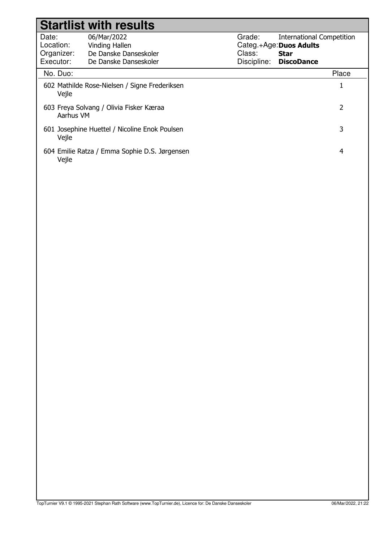|                                               | <b>Startlist with results</b>                                                   |                                 |                                                                                                 |
|-----------------------------------------------|---------------------------------------------------------------------------------|---------------------------------|-------------------------------------------------------------------------------------------------|
| Date:<br>Location:<br>Organizer:<br>Executor: | 06/Mar/2022<br>Vinding Hallen<br>De Danske Danseskoler<br>De Danske Danseskoler | Grade:<br>Class:<br>Discipline: | <b>International Competition</b><br>Categ.+Age: Duos Adults<br><b>Star</b><br><b>DiscoDance</b> |
| No. Duo:                                      |                                                                                 |                                 | Place                                                                                           |
| Vejle                                         | 602 Mathilde Rose-Nielsen / Signe Frederiksen                                   |                                 |                                                                                                 |
| Aarhus VM                                     | 603 Freya Solvang / Olivia Fisker Kæraa                                         |                                 | 2                                                                                               |
| Vejle                                         | 601 Josephine Huettel / Nicoline Enok Poulsen                                   |                                 | 3                                                                                               |
| Vejle                                         | 604 Emilie Ratza / Emma Sophie D.S. Jørgensen                                   |                                 | 4                                                                                               |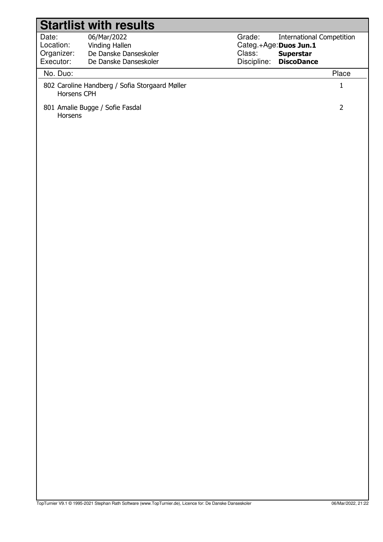|             | <b>Startlist with results</b>                  |             |                                  |                |
|-------------|------------------------------------------------|-------------|----------------------------------|----------------|
| Date:       | 06/Mar/2022                                    | Grade:      | <b>International Competition</b> |                |
| Location:   | Vinding Hallen                                 |             | Categ.+Age: Duos Jun.1           |                |
| Organizer:  | De Danske Danseskoler                          | Class:      | <b>Superstar</b>                 |                |
| Executor:   | De Danske Danseskoler                          | Discipline: | <b>DiscoDance</b>                |                |
| No. Duo:    |                                                |             |                                  | Place          |
| Horsens CPH | 802 Caroline Handberg / Sofia Storgaard Møller |             |                                  | $\mathbf{1}$   |
| Horsens     | 801 Amalie Bugge / Sofie Fasdal                |             |                                  | $\overline{2}$ |
|             |                                                |             |                                  |                |
|             |                                                |             |                                  |                |
|             |                                                |             |                                  |                |
|             |                                                |             |                                  |                |
|             |                                                |             |                                  |                |
|             |                                                |             |                                  |                |
|             |                                                |             |                                  |                |
|             |                                                |             |                                  |                |
|             |                                                |             |                                  |                |
|             |                                                |             |                                  |                |
|             |                                                |             |                                  |                |
|             |                                                |             |                                  |                |
|             |                                                |             |                                  |                |
|             |                                                |             |                                  |                |
|             |                                                |             |                                  |                |
|             |                                                |             |                                  |                |
|             |                                                |             |                                  |                |
|             |                                                |             |                                  |                |
|             |                                                |             |                                  |                |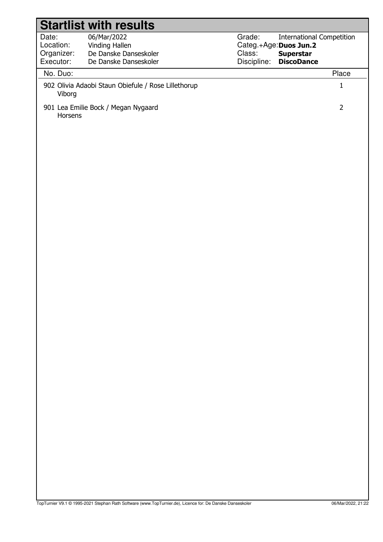|            | <b>Startlist with results</b>                       |             |                                  |
|------------|-----------------------------------------------------|-------------|----------------------------------|
| Date:      | 06/Mar/2022                                         | Grade:      | <b>International Competition</b> |
| Location:  | Vinding Hallen                                      |             | Categ.+Age: Duos Jun.2           |
| Organizer: | De Danske Danseskoler                               | Class:      | <b>Superstar</b>                 |
| Executor:  | De Danske Danseskoler                               | Discipline: | <b>DiscoDance</b>                |
| No. Duo:   |                                                     |             | Place                            |
| Viborg     | 902 Olivia Adaobi Staun Obiefule / Rose Lillethorup |             | $\mathbf{1}$                     |
| Horsens    | 901 Lea Emilie Bock / Megan Nygaard                 |             | $\overline{2}$                   |
|            |                                                     |             |                                  |
|            |                                                     |             |                                  |
|            |                                                     |             |                                  |
|            |                                                     |             |                                  |
|            |                                                     |             |                                  |
|            |                                                     |             |                                  |
|            |                                                     |             |                                  |
|            |                                                     |             |                                  |
|            |                                                     |             |                                  |
|            |                                                     |             |                                  |
|            |                                                     |             |                                  |
|            |                                                     |             |                                  |
|            |                                                     |             |                                  |
|            |                                                     |             |                                  |
|            |                                                     |             |                                  |
|            |                                                     |             |                                  |
|            |                                                     |             |                                  |
|            |                                                     |             |                                  |
|            |                                                     |             |                                  |
|            |                                                     |             |                                  |
|            |                                                     |             |                                  |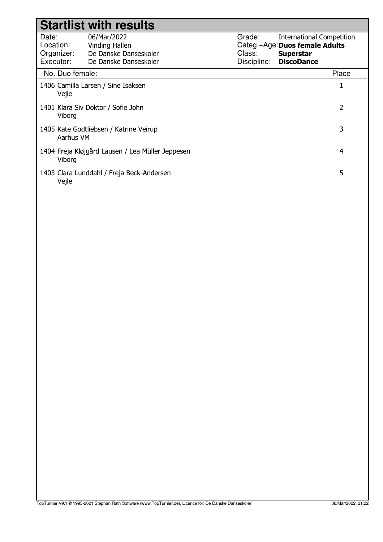|                                               | <b>Startlist with results</b>                                                   |                                 |                                                                                                             |       |
|-----------------------------------------------|---------------------------------------------------------------------------------|---------------------------------|-------------------------------------------------------------------------------------------------------------|-------|
| Date:<br>Location:<br>Organizer:<br>Executor: | 06/Mar/2022<br>Vinding Hallen<br>De Danske Danseskoler<br>De Danske Danseskoler | Grade:<br>Class:<br>Discipline: | <b>International Competition</b><br>Categ.+Age: Duos female Adults<br><b>Superstar</b><br><b>DiscoDance</b> |       |
| No. Duo female:                               |                                                                                 |                                 |                                                                                                             | Place |
| Vejle                                         | 1406 Camilla Larsen / Sine Isaksen                                              |                                 |                                                                                                             |       |
| Viborg                                        | 1401 Klara Siv Doktor / Sofie John                                              |                                 |                                                                                                             | 2     |
| Aarhus VM                                     | 1405 Kate Godtliebsen / Katrine Veirup                                          |                                 |                                                                                                             | 3     |
| Viborg                                        | 1404 Freja Kløjgård Lausen / Lea Müller Jeppesen                                |                                 |                                                                                                             | 4     |
| Vejle                                         | 1403 Clara Lunddahl / Freja Beck-Andersen                                       |                                 |                                                                                                             | 5     |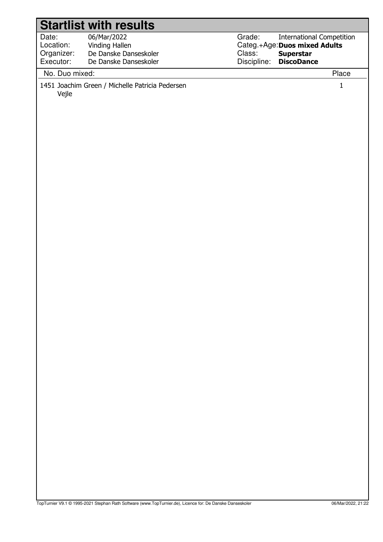|                                      | <b>Startlist with results</b>                                            |             |                                  |                       |
|--------------------------------------|--------------------------------------------------------------------------|-------------|----------------------------------|-----------------------|
| Date:                                | 06/Mar/2022                                                              | Grade:      | <b>International Competition</b> |                       |
| Location:<br>Organizer:              | Vinding Hallen<br>De Danske Danseskoler                                  | Class:      | Categ.+Age: Duos mixed Adults    |                       |
|                                      |                                                                          |             | <b>Superstar</b>                 |                       |
|                                      |                                                                          |             |                                  |                       |
| Executor:<br>No. Duo mixed:<br>Vejle | De Danske Danseskoler<br>1451 Joachim Green / Michelle Patricia Pedersen | Discipline: | <b>DiscoDance</b>                | Place<br>$\mathbf{1}$ |
|                                      |                                                                          |             |                                  |                       |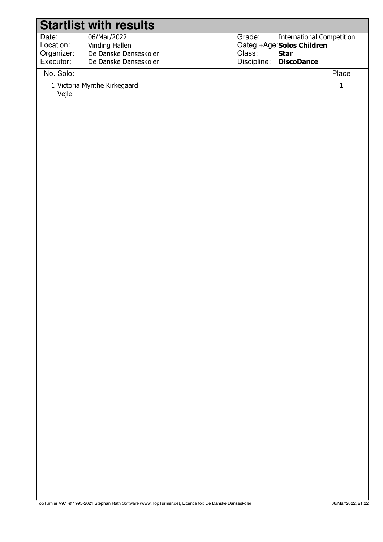|                    | <b>Startlist with results</b>           |             |                                           |
|--------------------|-----------------------------------------|-------------|-------------------------------------------|
| Date:<br>Location: | 06/Mar/2022                             | Grade:      | <b>International Competition</b>          |
| Organizer:         | Vinding Hallen<br>De Danske Danseskoler | Class:      | Categ.+Age: Solos Children<br><b>Star</b> |
| Executor:          | De Danske Danseskoler                   | Discipline: | <b>DiscoDance</b>                         |
| No. Solo:          |                                         |             | Place                                     |
| Vejle              | 1 Victoria Mynthe Kirkegaard            |             | $\mathbf{1}$                              |
|                    |                                         |             |                                           |
|                    |                                         |             |                                           |
|                    |                                         |             |                                           |
|                    |                                         |             |                                           |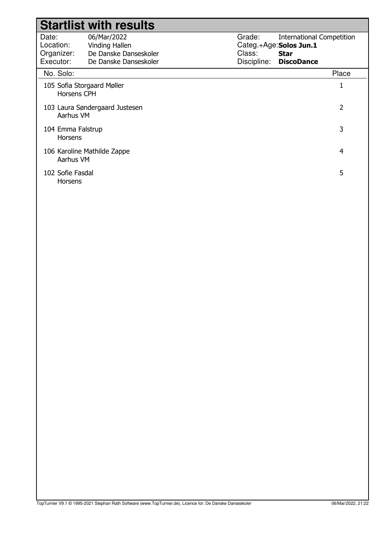|                                               | <b>Startlist with results</b>                                                   |                                 |                                                                                                |       |
|-----------------------------------------------|---------------------------------------------------------------------------------|---------------------------------|------------------------------------------------------------------------------------------------|-------|
| Date:<br>Location:<br>Organizer:<br>Executor: | 06/Mar/2022<br>Vinding Hallen<br>De Danske Danseskoler<br>De Danske Danseskoler | Grade:<br>Class:<br>Discipline: | <b>International Competition</b><br>Categ.+Age:Solos Jun.1<br><b>Star</b><br><b>DiscoDance</b> |       |
| No. Solo:                                     |                                                                                 |                                 |                                                                                                | Place |
| 105 Sofia Storgaard Møller<br>Horsens CPH     |                                                                                 |                                 |                                                                                                | 1     |
| Aarhus VM                                     | 103 Laura Søndergaard Justesen                                                  |                                 |                                                                                                | 2     |
| 104 Emma Falstrup<br><b>Horsens</b>           |                                                                                 |                                 |                                                                                                | 3     |
| Aarhus VM                                     | 106 Karoline Mathilde Zappe                                                     |                                 |                                                                                                | 4     |
| 102 Sofie Fasdal<br><b>Horsens</b>            |                                                                                 |                                 |                                                                                                | 5     |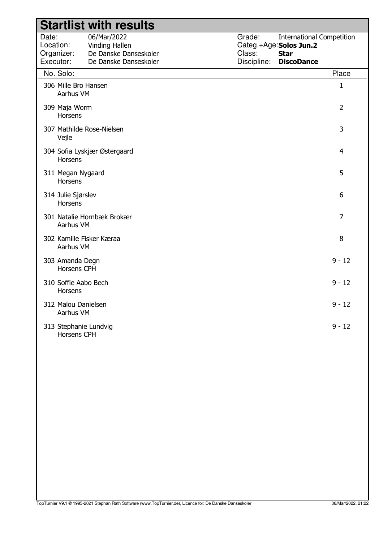| <b>Startlist with results</b>                                                                                                    |                                                                                                                                   |
|----------------------------------------------------------------------------------------------------------------------------------|-----------------------------------------------------------------------------------------------------------------------------------|
| Date:<br>06/Mar/2022<br>Location:<br>Vinding Hallen<br>De Danske Danseskoler<br>Organizer:<br>Executor:<br>De Danske Danseskoler | Grade:<br><b>International Competition</b><br>Categ.+Age:Solos Jun.2<br>Class:<br><b>Star</b><br>Discipline:<br><b>DiscoDance</b> |
| No. Solo:                                                                                                                        | Place                                                                                                                             |
| 306 Mille Bro Hansen<br>Aarhus VM                                                                                                | 1                                                                                                                                 |
| 309 Maja Worm<br>Horsens                                                                                                         | $\overline{2}$                                                                                                                    |
| 307 Mathilde Rose-Nielsen<br>Vejle                                                                                               | 3                                                                                                                                 |
| 304 Sofia Lyskjær Østergaard<br><b>Horsens</b>                                                                                   | $\overline{4}$                                                                                                                    |
| 311 Megan Nygaard<br>Horsens                                                                                                     | 5                                                                                                                                 |
| 314 Julie Sjørslev<br>Horsens                                                                                                    | 6                                                                                                                                 |
| 301 Natalie Hornbæk Brokær<br>Aarhus VM                                                                                          | $\overline{7}$                                                                                                                    |
| 302 Kamille Fisker Kæraa<br>Aarhus VM                                                                                            | 8                                                                                                                                 |
| 303 Amanda Degn<br>Horsens CPH                                                                                                   | $9 - 12$                                                                                                                          |
| 310 Soffie Aabo Bech<br>Horsens                                                                                                  | $9 - 12$                                                                                                                          |
| 312 Malou Danielsen<br>Aarhus VM                                                                                                 | $9 - 12$                                                                                                                          |
| 313 Stephanie Lundvig<br>Horsens CPH                                                                                             | $9 - 12$                                                                                                                          |
|                                                                                                                                  |                                                                                                                                   |
|                                                                                                                                  |                                                                                                                                   |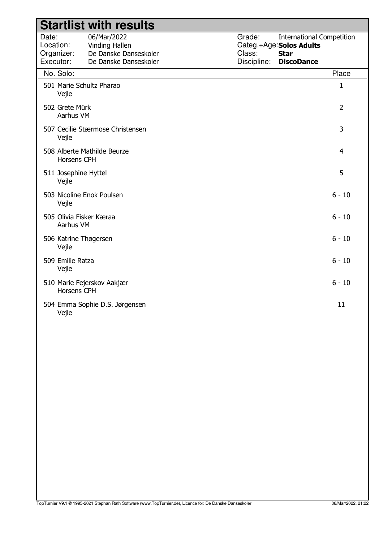|                                               |                               | <b>Startlist with results</b>                                                   |                  |                                                                                                       |
|-----------------------------------------------|-------------------------------|---------------------------------------------------------------------------------|------------------|-------------------------------------------------------------------------------------------------------|
| Date:<br>Location:<br>Organizer:<br>Executor: |                               | 06/Mar/2022<br>Vinding Hallen<br>De Danske Danseskoler<br>De Danske Danseskoler | Grade:<br>Class: | <b>International Competition</b><br>Categ.+Age: Solos Adults<br><b>Star</b><br>Discipline: DiscoDance |
| No. Solo:                                     |                               |                                                                                 |                  | Place                                                                                                 |
|                                               | Vejle                         | 501 Marie Schultz Pharao                                                        |                  | $\mathbf 1$                                                                                           |
|                                               | 502 Grete Mürk<br>Aarhus VM   |                                                                                 |                  | $\overline{2}$                                                                                        |
|                                               | Vejle                         | 507 Cecilie Stærmose Christensen                                                |                  | 3                                                                                                     |
|                                               | <b>Horsens CPH</b>            | 508 Alberte Mathilde Beurze                                                     |                  | 4                                                                                                     |
|                                               | 511 Josephine Hyttel<br>Vejle |                                                                                 |                  | 5                                                                                                     |
|                                               | Vejle                         | 503 Nicoline Enok Poulsen                                                       |                  | $6 - 10$                                                                                              |
|                                               | Aarhus VM                     | 505 Olivia Fisker Kæraa                                                         |                  | $6 - 10$                                                                                              |
|                                               | Vejle                         | 506 Katrine Thøgersen                                                           |                  | $6 - 10$                                                                                              |
|                                               | 509 Emilie Ratza<br>Vejle     |                                                                                 |                  | $6 - 10$                                                                                              |
|                                               | <b>Horsens CPH</b>            | 510 Marie Fejerskov Aakjær                                                      |                  | $6 - 10$                                                                                              |
|                                               | Vejle                         | 504 Emma Sophie D.S. Jørgensen                                                  |                  | 11                                                                                                    |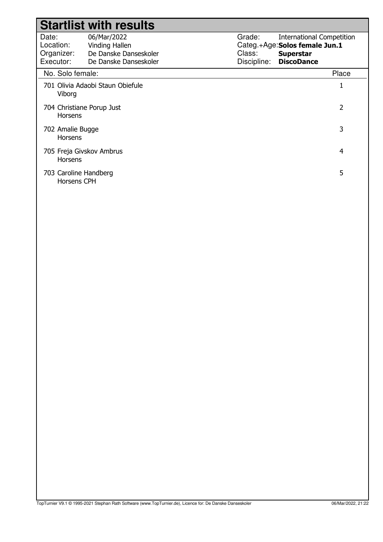|                                               | <b>Startlist with results</b>                                                   |                                 |                                                                                                            |
|-----------------------------------------------|---------------------------------------------------------------------------------|---------------------------------|------------------------------------------------------------------------------------------------------------|
| Date:<br>Location:<br>Organizer:<br>Executor: | 06/Mar/2022<br>Vinding Hallen<br>De Danske Danseskoler<br>De Danske Danseskoler | Grade:<br>Class:<br>Discipline: | <b>International Competition</b><br>Categ.+Age:Solos female Jun.1<br><b>Superstar</b><br><b>DiscoDance</b> |
| No. Solo female:                              |                                                                                 |                                 | Place                                                                                                      |
| Viborg                                        | 701 Olivia Adaobi Staun Obiefule                                                |                                 |                                                                                                            |
| 704 Christiane Porup Just<br>Horsens          |                                                                                 |                                 | 2                                                                                                          |
| 702 Amalie Bugge<br><b>Horsens</b>            |                                                                                 |                                 | 3                                                                                                          |
| 705 Freja Givskov Ambrus<br><b>Horsens</b>    |                                                                                 |                                 | 4                                                                                                          |
| 703 Caroline Handberg<br>Horsens CPH          |                                                                                 |                                 | 5                                                                                                          |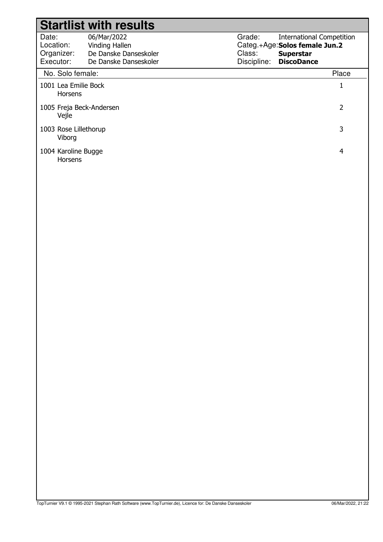|                                               | <b>Startlist with results</b>                                                   |                                 |                                                                                                            |
|-----------------------------------------------|---------------------------------------------------------------------------------|---------------------------------|------------------------------------------------------------------------------------------------------------|
| Date:<br>Location:<br>Organizer:<br>Executor: | 06/Mar/2022<br>Vinding Hallen<br>De Danske Danseskoler<br>De Danske Danseskoler | Grade:<br>Class:<br>Discipline: | <b>International Competition</b><br>Categ.+Age:Solos female Jun.2<br><b>Superstar</b><br><b>DiscoDance</b> |
| No. Solo female:                              |                                                                                 |                                 | Place                                                                                                      |
| 1001 Lea Emilie Bock<br><b>Horsens</b>        |                                                                                 |                                 |                                                                                                            |
| 1005 Freja Beck-Andersen<br>Vejle             |                                                                                 |                                 | 2                                                                                                          |
| 1003 Rose Lillethorup<br>Viborg               |                                                                                 |                                 | 3                                                                                                          |
| 1004 Karoline Bugge<br><b>Horsens</b>         |                                                                                 |                                 | 4                                                                                                          |
|                                               |                                                                                 |                                 |                                                                                                            |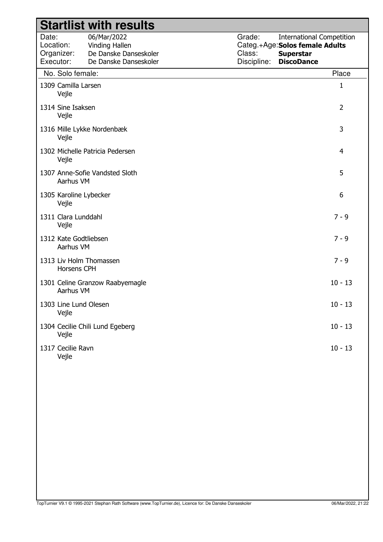| <b>Startlist with results</b>                 |                                                                                 |                                                                                                                                                 |  |
|-----------------------------------------------|---------------------------------------------------------------------------------|-------------------------------------------------------------------------------------------------------------------------------------------------|--|
| Date:<br>Location:<br>Organizer:<br>Executor: | 06/Mar/2022<br>Vinding Hallen<br>De Danske Danseskoler<br>De Danske Danseskoler | Grade:<br><b>International Competition</b><br>Categ.+Age: Solos female Adults<br>Class:<br><b>Superstar</b><br>Discipline:<br><b>DiscoDance</b> |  |
| No. Solo female:<br>Place                     |                                                                                 |                                                                                                                                                 |  |
| 1309 Camilla Larsen<br>Vejle                  |                                                                                 | 1                                                                                                                                               |  |
| 1314 Sine Isaksen<br>Vejle                    |                                                                                 | $\overline{2}$                                                                                                                                  |  |
| Vejle                                         | 1316 Mille Lykke Nordenbæk                                                      | 3                                                                                                                                               |  |
| Vejle                                         | 1302 Michelle Patricia Pedersen                                                 | 4                                                                                                                                               |  |
|                                               | 1307 Anne-Sofie Vandsted Sloth<br>Aarhus VM                                     | 5                                                                                                                                               |  |
| Vejle                                         | 1305 Karoline Lybecker                                                          | 6                                                                                                                                               |  |
| 1311 Clara Lunddahl<br>Vejle                  |                                                                                 | $7 - 9$                                                                                                                                         |  |
|                                               | 1312 Kate Godtliebsen<br>Aarhus VM                                              | $7 - 9$                                                                                                                                         |  |
|                                               | 1313 Liv Holm Thomassen<br>Horsens CPH                                          | $7 - 9$                                                                                                                                         |  |
|                                               | 1301 Celine Granzow Raabyemagle<br>Aarhus VM                                    | $10 - 13$                                                                                                                                       |  |
| Vejle                                         | 1303 Line Lund Olesen                                                           | $10 - 13$                                                                                                                                       |  |
| Vejle                                         | 1304 Cecilie Chili Lund Egeberg                                                 | $10 - 13$                                                                                                                                       |  |
| 1317 Cecilie Ravn<br>Vejle                    |                                                                                 | $10 - 13$                                                                                                                                       |  |
|                                               |                                                                                 |                                                                                                                                                 |  |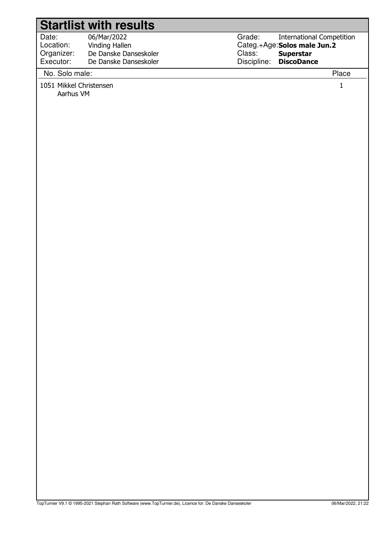| Date:      | 06/Mar/2022           |
|------------|-----------------------|
| Location:  | Vinding Hallen        |
| Organizer: | De Danske Danseskoler |
| Executor:  | De Danske Danseskoler |

Grade: Categ.+Age:**Solos male Jun.2** Class: Discipline: International Competition  **Superstar DiscoDance**

#### No. Solo male: Place

1051 Mikkel Christensen 1

Aarhus VM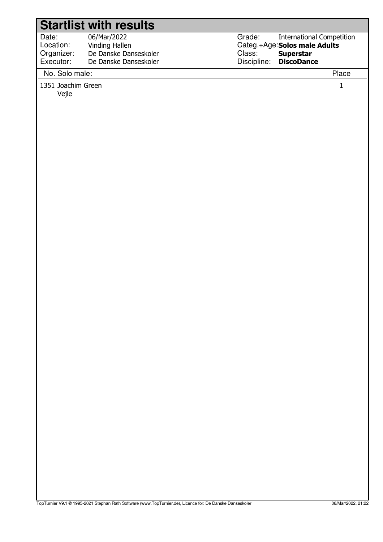Date: Location: 06/Mar/2022 Vinding Hallen Organizer: Executor: De Danske Danseskoler De Danske Danseskoler

Grade: Categ.+Age: Solos male Adults Class: Discipline: International Competition  **Superstar DiscoDance**

No. Solo male: Place

1351 Joachim Green 1351 Joachim Green 1351 Joachim Green 1351 Joachim Green 1351 Joachim Green 1351 Joachim G

Vejle